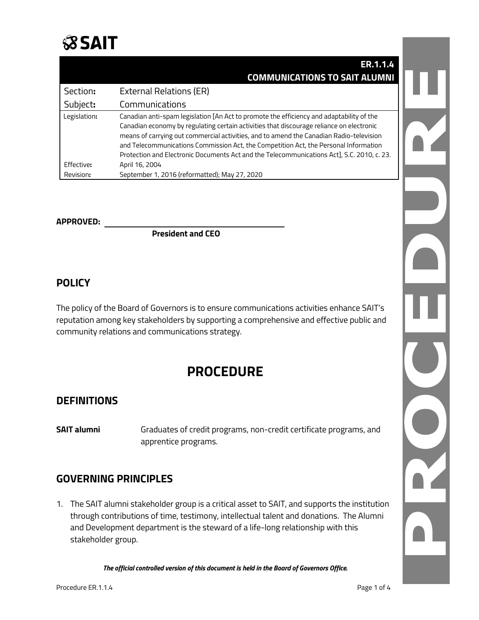

|              | ER.1.1.4                                                                                                                                                                                                                                                                                                                                                                  |  |
|--------------|---------------------------------------------------------------------------------------------------------------------------------------------------------------------------------------------------------------------------------------------------------------------------------------------------------------------------------------------------------------------------|--|
|              | <b>COMMUNICATIONS TO SAIT ALUMNI</b>                                                                                                                                                                                                                                                                                                                                      |  |
| Section:     | <b>External Relations (ER)</b>                                                                                                                                                                                                                                                                                                                                            |  |
| Subject:     | Communications                                                                                                                                                                                                                                                                                                                                                            |  |
| Legislation: | Canadian anti-spam legislation [An Act to promote the efficiency and adaptability of the                                                                                                                                                                                                                                                                                  |  |
|              | Canadian economy by regulating certain activities that discourage reliance on electronic<br>means of carrying out commercial activities, and to amend the Canadian Radio-television<br>and Telecommunications Commission Act, the Competition Act, the Personal Information<br>Protection and Electronic Documents Act and the Telecommunications Act], S.C. 2010, c. 23. |  |
| Effective:   | April 16, 2004                                                                                                                                                                                                                                                                                                                                                            |  |
| Revision:    | September 1, 2016 (reformatted); May 27, 2020                                                                                                                                                                                                                                                                                                                             |  |

#### **APPROVED:**

**President and CEO**

#### **POLICY**

The policy of the Board of Governors is to ensure communications activities enhance SAIT's reputation among key stakeholders by supporting a comprehensive and effective public and community relations and communications strategy.

## **PROCEDURE**

#### **DEFINITIONS**

**SAIT alumni** Graduates of credit programs, non-credit certificate programs, and apprentice programs.

#### **GOVERNING PRINCIPLES**

1. The SAIT alumni stakeholder group is a critical asset to SAIT, and supports the institution through contributions of time, testimony, intellectual talent and donations. The Alumni and Development department is the steward of a life-long relationship with this stakeholder group.

*The official controlled version of this document is held in the Board of Governors Office.*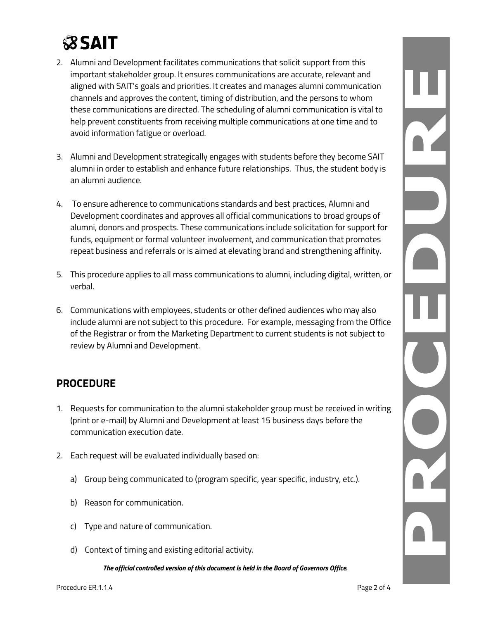# **SSAIT**

- 2. Alumni and Development facilitates communications that solicit support from this important stakeholder group. It ensures communications are accurate, relevant and aligned with SAIT's goals and priorities. It creates and manages alumni communication channels and approves the content, timing of distribution, and the persons to whom these communications are directed. The scheduling of alumni communication is vital to help prevent constituents from receiving multiple communications at one time and to avoid information fatigue or overload.
- 3. Alumni and Development strategically engages with students before they become SAIT alumni in order to establish and enhance future relationships. Thus, the student body is an alumni audience.
- 4. To ensure adherence to communications standards and best practices, Alumni and Development coordinates and approves all official communications to broad groups of alumni, donors and prospects. These communications include solicitation for support for funds, equipment or formal volunteer involvement, and communication that promotes repeat business and referrals or is aimed at elevating brand and strengthening affinity.
- 5. This procedure applies to all mass communications to alumni, including digital, written, or verbal.
- 6. Communications with employees, students or other defined audiences who may also include alumni are not subject to this procedure. For example, messaging from the Office of the Registrar or from the Marketing Department to current students is not subject to review by Alumni and Development.

### **PROCEDURE**

- 1. Requests for communication to the alumni stakeholder group must be received in writing (print or e-mail) by Alumni and Development at least 15 business days before the communication execution date.
- 2. Each request will be evaluated individually based on:
	- a) Group being communicated to (program specific, year specific, industry, etc.).
	- b) Reason for communication.
	- c) Type and nature of communication.
	- d) Context of timing and existing editorial activity.

*The official controlled version of this document is held in the Board of Governors Office.*

N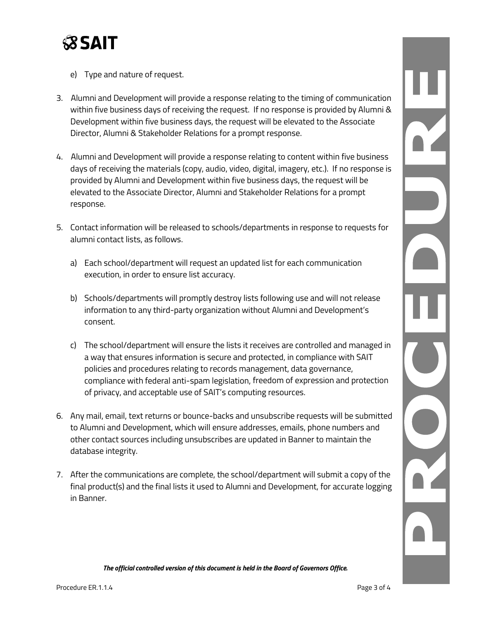

- e) Type and nature of request.
- 3. Alumni and Development will provide a response relating to the timing of communication within five business days of receiving the request. If no response is provided by Alumni & Development within five business days, the request will be elevated to the Associate Director, Alumni & Stakeholder Relations for a prompt response.
- 4. Alumni and Development will provide a response relating to content within five business days of receiving the materials (copy, audio, video, digital, imagery, etc.). If no response is provided by Alumni and Development within five business days, the request will be elevated to the Associate Director, Alumni and Stakeholder Relations for a prompt response.
- 5. Contact information will be released to schools/departments in response to requests for alumni contact lists, as follows.
	- a) Each school/department will request an updated list for each communication execution, in order to ensure list accuracy.
	- b) Schools/departments will promptly destroy lists following use and will not release information to any third-party organization without Alumni and Development's consent.
	- c) The school/department will ensure the lists it receives are controlled and managed in a way that ensures information is secure and protected, in compliance with SAIT policies and procedures relating to records management, data governance, compliance with federal anti-spam legislation, freedom of expression and protection of privacy, and acceptable use of SAIT's computing resources.
- 6. Any mail, email, text returns or bounce-backs and unsubscribe requests will be submitted to Alumni and Development, which will ensure addresses, emails, phone numbers and other contact sources including unsubscribes are updated in Banner to maintain the database integrity.
- 7. After the communications are complete, the school/department will submit a copy of the final product(s) and the final lists it used to Alumni and Development, for accurate logging in Banner.

*The official controlled version of this document is held in the Board of Governors Office.*